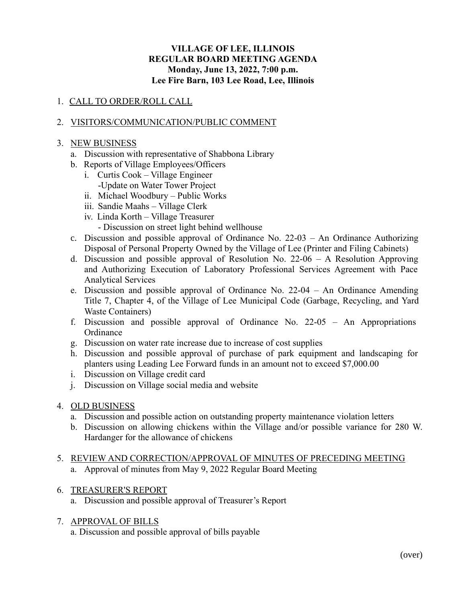### **VILLAGE OF LEE, ILLINOIS REGULAR BOARD MEETING AGENDA Monday, June 13, 2022, 7:00 p.m. Lee Fire Barn, 103 Lee Road, Lee, Illinois**

# 1. CALL TO ORDER/ROLL CALL

## 2. VISITORS/COMMUNICATION/PUBLIC COMMENT

#### 3. NEW BUSINESS

- a. Discussion with representative of Shabbona Library
- b. Reports of Village Employees/Officers
	- i. Curtis Cook Village Engineer
	- -Update on Water Tower Project
	- ii. Michael Woodbury Public Works
	- iii. Sandie Maahs Village Clerk
	- iv. Linda Korth Village Treasurer
		- Discussion on street light behind wellhouse
- c. Discussion and possible approval of Ordinance No. 22-03 An Ordinance Authorizing Disposal of Personal Property Owned by the Village of Lee (Printer and Filing Cabinets)
- d. Discussion and possible approval of Resolution No. 22-06 A Resolution Approving and Authorizing Execution of Laboratory Professional Services Agreement with Pace Analytical Services
- e. Discussion and possible approval of Ordinance No. 22-04 An Ordinance Amending Title 7, Chapter 4, of the Village of Lee Municipal Code (Garbage, Recycling, and Yard Waste Containers)
- f. Discussion and possible approval of Ordinance No. 22-05 An Appropriations **Ordinance**
- g. Discussion on water rate increase due to increase of cost supplies
- h. Discussion and possible approval of purchase of park equipment and landscaping for planters using Leading Lee Forward funds in an amount not to exceed \$7,000.00
- i. Discussion on Village credit card
- j. Discussion on Village social media and website

#### 4. OLD BUSINESS

- a. Discussion and possible action on outstanding property maintenance violation letters
- b. Discussion on allowing chickens within the Village and/or possible variance for 280 W. Hardanger for the allowance of chickens
- 5. REVIEW AND CORRECTION/APPROVAL OF MINUTES OF PRECEDING MEETING a. Approval of minutes from May 9, 2022 Regular Board Meeting

## 6. TREASURER'S REPORT

- a. Discussion and possible approval of Treasurer's Report
- 7. APPROVAL OF BILLS

a. Discussion and possible approval of bills payable